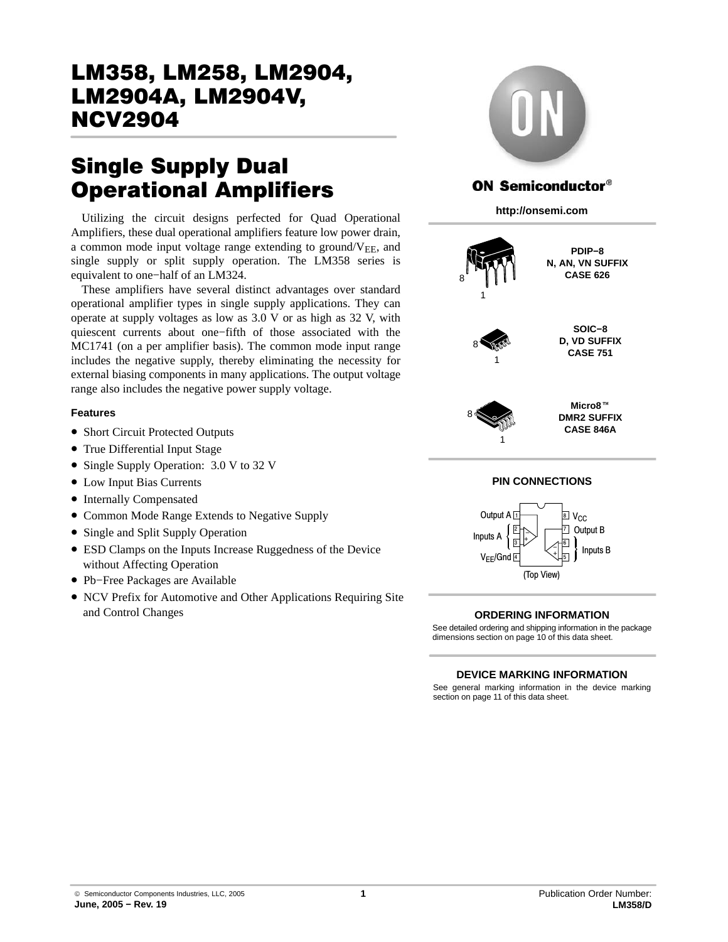# LM358, LM258, LM2904,<br>LM2904A, LM2904V, **NCV2904**  $\frac{1}{\sqrt{2}}$

# **Single Supply Dual<br>Operational Amplifiers**

Utilizing the circuit designs perfected for Quad Operational Amplifiers, these dual operational amplifiers feature low power drain, a common mode input voltage range extending to ground/ $V_{EE}$ , and single supply or split supply operation. The LM358 series is equivalent to one−half of an LM324.

These amplifiers have several distinct advantages over standard operational amplifier types in single supply applications. They can operate at supply voltages as low as 3.0 V or as high as 32 V, with quiescent currents about one−fifth of those associated with the MC1741 (on a per amplifier basis). The common mode input range includes the negative supply, thereby eliminating the necessity for external biasing components in many applications. The output voltage range also includes the negative power supply voltage.

#### **Features**

- Short Circuit Protected Outputs
- True Differential Input Stage
- Single Supply Operation: 3.0 V to 32 V
- Low Input Bias Currents
- Internally Compensated
- Common Mode Range Extends to Negative Supply
- Single and Split Supply Operation
- ESD Clamps on the Inputs Increase Ruggedness of the Device without Affecting Operation
- Pb−Free Packages are Available
- NCV Prefix for Automotive and Other Applications Requiring Site and Control Changes



# **ON Semiconductor®**

**http://onsemi.com**



#### **ORDERING INFORMATION**

See detailed ordering and shipping information in the package dimensions section on page [10 of this data sheet.](#page-9-0)

#### **DEVICE MARKING INFORMATION**

See general marking information in the device marking section on page [11 of this data sheet.](#page-10-0)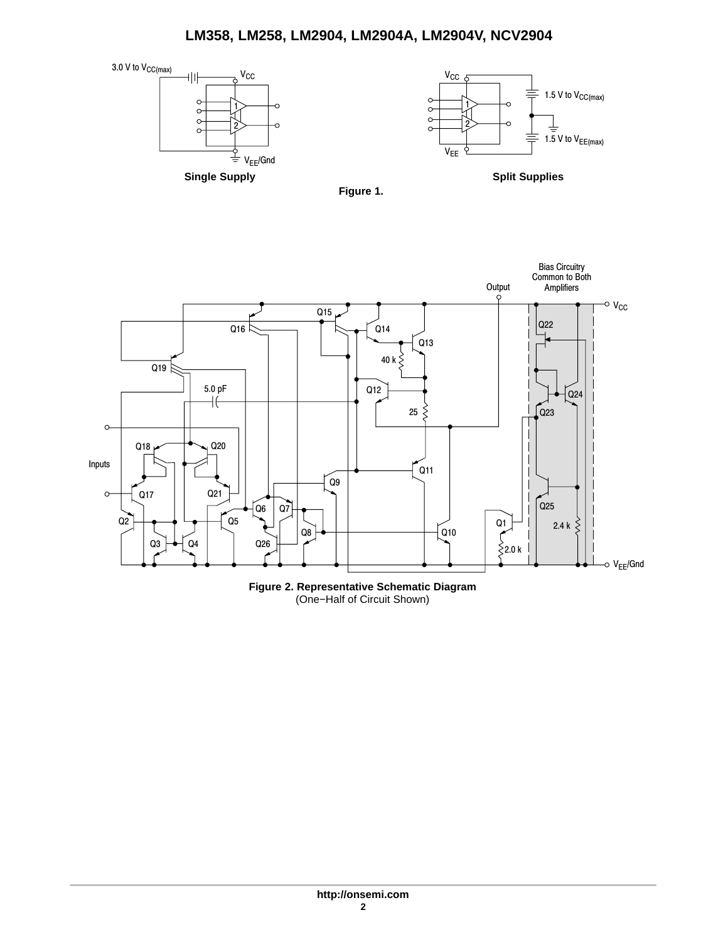





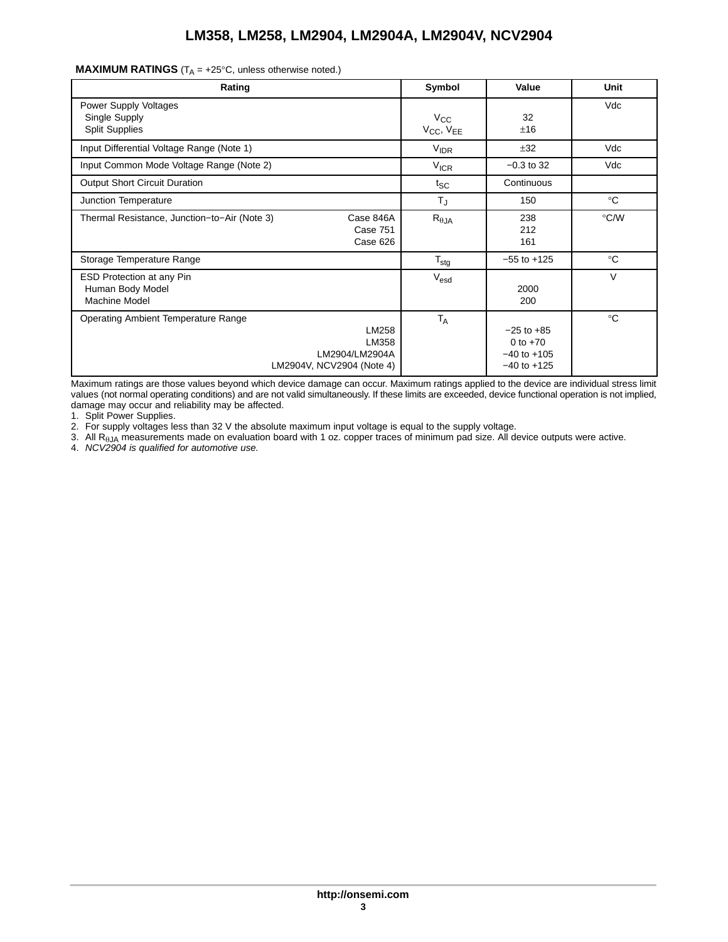|  | <b>MAXIMUM RATINGS</b> ( $T_A = +25^\circ \text{C}$ , unless otherwise noted.) |  |
|--|--------------------------------------------------------------------------------|--|
|--|--------------------------------------------------------------------------------|--|

| Rating                                                                                                      | Symbol                                            | Value                                                              | Unit         |
|-------------------------------------------------------------------------------------------------------------|---------------------------------------------------|--------------------------------------------------------------------|--------------|
| <b>Power Supply Voltages</b><br>Single Supply<br><b>Split Supplies</b>                                      | $V_{\rm CC}$<br>V <sub>CC</sub> , V <sub>EE</sub> | 32<br>±16                                                          | Vdc          |
| Input Differential Voltage Range (Note 1)                                                                   | <b>VIDR</b>                                       | ±32                                                                | Vdc          |
| Input Common Mode Voltage Range (Note 2)                                                                    | <b>V<sub>ICR</sub></b>                            | $-0.3$ to 32                                                       | Vdc          |
| <b>Output Short Circuit Duration</b>                                                                        | $t_{SC}$                                          | Continuous                                                         |              |
| Junction Temperature                                                                                        | $T_{\sf J}$                                       | 150                                                                | $^{\circ}C$  |
| Thermal Resistance, Junction-to-Air (Note 3)<br>Case 846A<br>Case 751<br>Case 626                           | $R_{\theta$ JA                                    | 238<br>212<br>161                                                  | °C/W         |
| Storage Temperature Range                                                                                   | $\mathsf{T}_{\text{stg}}$                         | $-55$ to $+125$                                                    | $^{\circ}$ C |
| ESD Protection at any Pin<br>Human Body Model<br><b>Machine Model</b>                                       | V <sub>esd</sub>                                  | 2000<br>200                                                        | V            |
| <b>Operating Ambient Temperature Range</b><br>LM258<br>LM358<br>LM2904/LM2904A<br>LM2904V, NCV2904 (Note 4) | $T_A$                                             | $-25$ to $+85$<br>0 to $+70$<br>$-40$ to $+105$<br>$-40$ to $+125$ | $^{\circ}C$  |

Maximum ratings are those values beyond which device damage can occur. Maximum ratings applied to the device are individual stress limit values (not normal operating conditions) and are not valid simultaneously. If these limits are exceeded, device functional operation is not implied, damage may occur and reliability may be affected.

1. Split Power Supplies.

2. For supply voltages less than 32 V the absolute maximum input voltage is equal to the supply voltage.

3. All R-JA measurements made on evaluation board with 1 oz. copper traces of minimum pad size. All device outputs were active. 4. *NCV2904 is qualified for automotive use.*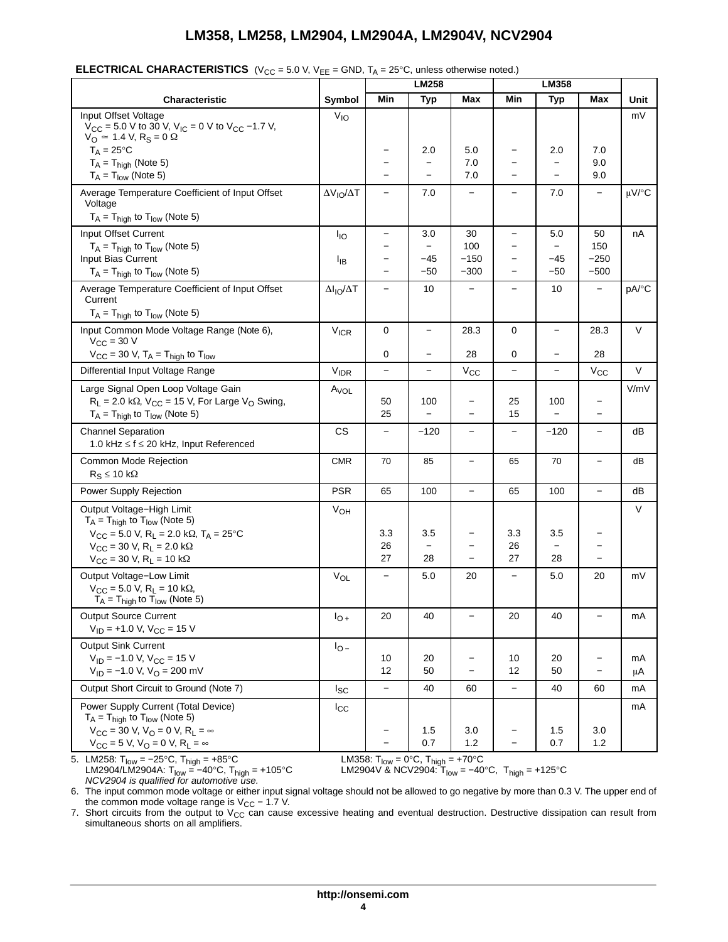|                                                                                                                                                               |                          | $\cdot$ $\sim$<br><b>LM258</b> |                                |                                      | LM358                    |                                 |                          |            |
|---------------------------------------------------------------------------------------------------------------------------------------------------------------|--------------------------|--------------------------------|--------------------------------|--------------------------------------|--------------------------|---------------------------------|--------------------------|------------|
| <b>Characteristic</b>                                                                                                                                         | Symbol                   | Min                            | <b>Typ</b>                     | Max                                  | Min                      | <b>Typ</b>                      | Max                      | Unit       |
| Input Offset Voltage<br>$V_{\text{CC}}$ = 5.0 V to 30 V, V <sub>IC</sub> = 0 V to V <sub>CC</sub> -1.7 V,<br>$V_O \approx 1.4$ V, R <sub>S</sub> = 0 $\Omega$ | $V_{IO}$                 |                                |                                |                                      |                          |                                 |                          | mV         |
| $T_A = 25^{\circ}C$                                                                                                                                           |                          |                                | 2.0                            | 5.0                                  |                          | 2.0                             | 7.0                      |            |
| $T_A = T_{high}$ (Note 5)<br>$T_A = T_{low}$ (Note 5)                                                                                                         |                          |                                | $\overline{a}$                 | 7.0<br>7.0                           |                          |                                 | 9.0<br>9.0               |            |
|                                                                                                                                                               |                          |                                |                                |                                      |                          |                                 |                          |            |
| Average Temperature Coefficient of Input Offset<br>Voltage<br>$T_A = T_{high}$ to $T_{low}$ (Note 5)                                                          | $\Delta V_{IO}/\Delta T$ |                                | 7.0                            | $\overline{\phantom{0}}$             |                          | 7.0                             | $\overline{\phantom{0}}$ | $\mu$ V/°C |
| Input Offset Current                                                                                                                                          | $I_{IO}$                 | —                              | 3.0                            | 30                                   | $\qquad \qquad -$        | 5.0                             | 50                       | nA         |
| $T_A = T_{\text{high}}$ to $T_{\text{low}}$ (Note 5)                                                                                                          |                          |                                | $\overline{\phantom{0}}$       | 100                                  | $\equiv$                 | $\overline{\phantom{0}}$        | 150                      |            |
| Input Bias Current                                                                                                                                            | $I_{IB}$                 |                                | -45                            | $-150$                               | $\overline{\phantom{0}}$ | -45                             | $-250$                   |            |
| $T_A = T_{\text{high}}$ to $T_{\text{low}}$ (Note 5)                                                                                                          |                          |                                | $-50$                          | $-300$                               | $\overline{\phantom{0}}$ | $-50$                           | $-500$                   |            |
| Average Temperature Coefficient of Input Offset<br>Current                                                                                                    | $\Delta I_{IO}/\Delta T$ | $\overline{\phantom{0}}$       | 10                             | $\overline{\phantom{0}}$             | $\overline{\phantom{0}}$ | 10                              | <u>.</u>                 | pA/°C      |
| $T_A = T_{high}$ to $T_{low}$ (Note 5)                                                                                                                        |                          |                                |                                |                                      |                          |                                 |                          |            |
| Input Common Mode Voltage Range (Note 6),<br>$V_{\text{CC}} = 30$ V                                                                                           | $V_{ICR}$                | 0                              | $\overline{\phantom{0}}$       | 28.3                                 | 0                        | -                               | 28.3                     | V          |
| $V_{CC}$ = 30 V, $T_A$ = $T_{high}$ to $T_{low}$                                                                                                              |                          | 0                              | $\overline{\phantom{0}}$       | 28                                   | 0                        | $\qquad \qquad -$               | 28                       |            |
| Differential Input Voltage Range                                                                                                                              | <b>V<sub>IDR</sub></b>   | $\overline{\phantom{0}}$       | $\overline{\phantom{0}}$       | $V_{\rm CC}$                         | $\equiv$                 | $\overline{\phantom{0}}$        | $V_{\rm CC}$             | $\vee$     |
| Large Signal Open Loop Voltage Gain<br>$R_L$ = 2.0 k $\Omega$ , $V_{CC}$ = 15 V, For Large V <sub>O</sub> Swing,<br>$T_A = T_{high}$ to $T_{low}$ (Note 5)    | $A_{VOL}$                | 50<br>25                       | 100                            | $\overline{\phantom{0}}$<br>$\equiv$ | 25<br>15                 | 100<br>$\overline{\phantom{0}}$ | $\overline{\phantom{m}}$ | V/mV       |
| <b>Channel Separation</b>                                                                                                                                     | <b>CS</b>                |                                | $-120$                         | $\overline{\phantom{0}}$             | $\overline{\phantom{0}}$ | $-120$                          | $\overline{\phantom{0}}$ | dB         |
| 1.0 kHz $\leq$ f $\leq$ 20 kHz, Input Referenced                                                                                                              |                          |                                |                                |                                      |                          |                                 |                          |            |
| Common Mode Rejection<br>$R_S \leq 10 k\Omega$                                                                                                                | <b>CMR</b>               | 70                             | 85                             | -                                    | 65                       | 70                              | -                        | dВ         |
| Power Supply Rejection                                                                                                                                        | <b>PSR</b>               | 65                             | 100                            | $\qquad \qquad -$                    | 65                       | 100                             | $\overline{\phantom{0}}$ | dB         |
| Output Voltage-High Limit<br>$T_A = T_{high}$ to $T_{low}$ (Note 5)                                                                                           | VOH                      |                                |                                |                                      |                          |                                 |                          | V          |
| $V_{CC}$ = 5.0 V, R <sub>L</sub> = 2.0 k $\Omega$ , T <sub>A</sub> = 25 °C                                                                                    |                          | 3.3                            | 3.5                            | <b>-</b>                             | 3.3                      | 3.5                             | -                        |            |
| $V_{\text{CC}} = 30 \text{ V}, R_{\text{L}} = 2.0 \text{ k}\Omega$<br>$V_{\text{CC}}$ = 30 V, R <sub>L</sub> = 10 k $\Omega$                                  |                          | 26<br>27                       | $\overline{\phantom{0}}$<br>28 |                                      | 26<br>27                 | 28                              |                          |            |
|                                                                                                                                                               |                          |                                |                                |                                      |                          |                                 |                          |            |
| Output Voltage-Low Limit<br>$V_{CC}$ = 5.0 V, R <sub>L</sub> = 10 k $\Omega$ ,<br>$T_A = T_{high}$ to $T_{low}$ (Note 5)                                      | VOL                      | $\qquad \qquad -$              | 5.0                            | 20                                   | $\overline{\phantom{0}}$ | 5.0                             | 20                       | mV         |
| <b>Output Source Current</b>                                                                                                                                  | $I_{O+}$                 | 20                             | 40                             | $\qquad \qquad -$                    | 20                       | 40                              | $\overline{\phantom{0}}$ | mA         |
| $V_{ID}$ = +1.0 V, V <sub>CC</sub> = 15 V                                                                                                                     |                          |                                |                                |                                      |                          |                                 |                          |            |
| <b>Output Sink Current</b>                                                                                                                                    | $I_{O}$                  |                                |                                |                                      |                          |                                 |                          |            |
| $V_{ID} = -1.0 V, V_{CC} = 15 V$                                                                                                                              |                          | 10                             | 20                             | -                                    | 10                       | 20                              | -                        | mA         |
| $V_{ID} = -1.0 V$ , $V_{O} = 200$ mV                                                                                                                          |                          | 12                             | 50                             | $\qquad \qquad -$                    | 12                       | 50                              | $\overline{\phantom{0}}$ | μA         |
| Output Short Circuit to Ground (Note 7)                                                                                                                       | $I_{SC}$                 | $\overline{\phantom{0}}$       | 40                             | 60                                   | $\qquad \qquad -$        | 40                              | 60                       | mA         |
| Power Supply Current (Total Device)                                                                                                                           | $I_{\rm CC}$             |                                |                                |                                      |                          |                                 |                          | mA         |
| $T_A = T_{high}$ to $T_{low}$ (Note 5)<br>$V_{CC}$ = 30 V, V <sub>O</sub> = 0 V, R <sub>L</sub> = $\infty$                                                    |                          |                                | 1.5                            | 3.0                                  |                          | 1.5                             | 3.0                      |            |
| $V_{CC} = 5 V$ , $V_{O} = 0 V$ , $R_{L} = \infty$                                                                                                             |                          |                                | 0.7                            | 1.2                                  | $\qquad \qquad -$        | 0.7                             | 1.2                      |            |

|  | <b>ELECTRICAL CHARACTERISTICS</b> (V <sub>CC</sub> = 5.0 V, V <sub>EE</sub> = GND, T <sub>A</sub> = 25°C, unless otherwise noted.) |
|--|------------------------------------------------------------------------------------------------------------------------------------|
|--|------------------------------------------------------------------------------------------------------------------------------------|

5. LM258: T<sub>low</sub> = −25°C, T<sub>high</sub> = +85°C LM358: T<sub>low</sub> = 0°C, T<sub>high</sub> = +70°C *NCV2904 is qualified for automotive use.*

LM358: T<sub>low</sub> = 0°C, T<sub>high</sub> = +70°C<br>LM2904V & NCV2904: T<sub>low</sub> = −40°C, T<sub>high</sub> = +125°C

6. The input common mode voltage or either input signal voltage should not be allowed to go negative by more than 0.3 V. The upper end of the common mode voltage range is  $V_{CC}$  – 1.7 V.

7. Short circuits from the output to  $V_{CC}$  can cause excessive heating and eventual destruction. Destructive dissipation can result from simultaneous shorts on all amplifiers.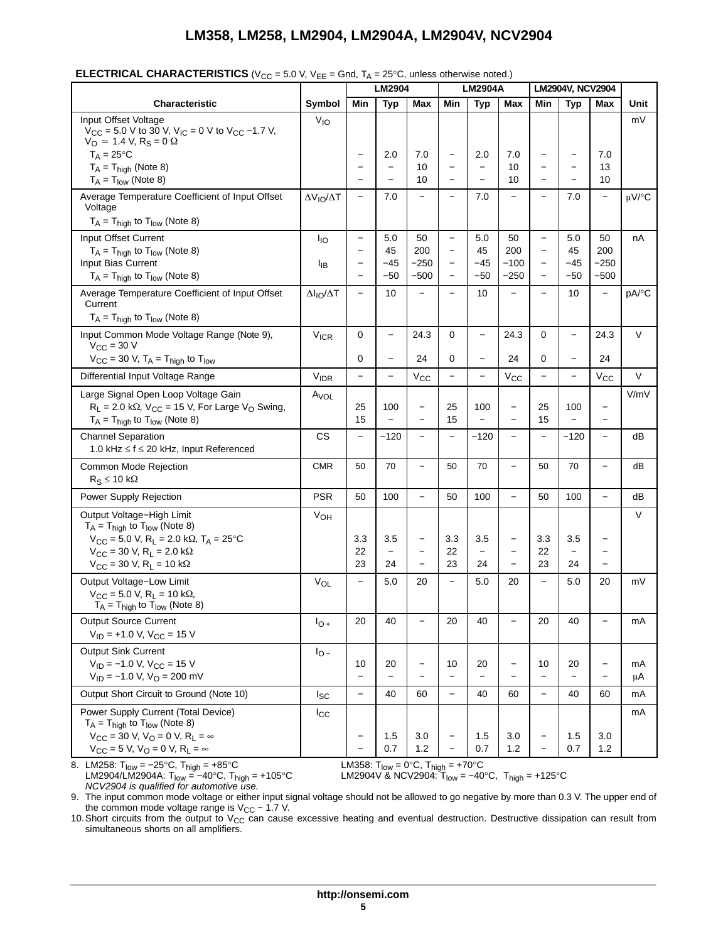|                                                                                                                                                                                                                                                                            |                          |                                | LM2904                                |                                                      | <b>LM2904A</b>                                       |                                 |                                                                    | LM2904V, NCV2904                              |                                             |                                                           |            |
|----------------------------------------------------------------------------------------------------------------------------------------------------------------------------------------------------------------------------------------------------------------------------|--------------------------|--------------------------------|---------------------------------------|------------------------------------------------------|------------------------------------------------------|---------------------------------|--------------------------------------------------------------------|-----------------------------------------------|---------------------------------------------|-----------------------------------------------------------|------------|
| <b>Characteristic</b>                                                                                                                                                                                                                                                      | Symbol                   | Min                            | <b>Typ</b>                            | Max                                                  | Min                                                  | <b>Typ</b>                      | Max                                                                | Min                                           | <b>Typ</b>                                  | <b>Max</b>                                                | Unit       |
| Input Offset Voltage<br>$V_{CC}$ = 5.0 V to 30 V, V <sub>IC</sub> = 0 V to V <sub>CC</sub> -1.7 V,<br>$V_{\Omega} \approx 1.4$ V, R <sub>S</sub> = 0 $\Omega$                                                                                                              |                          |                                |                                       |                                                      |                                                      |                                 |                                                                    |                                               |                                             |                                                           | mV         |
| $T_A = 25^{\circ}C$<br>$T_A = T_{high}$ (Note 8)                                                                                                                                                                                                                           |                          | $\overline{\phantom{0}}$       | 2.0<br>$\overline{\phantom{m}}$       | 7.0<br>10                                            | $\qquad \qquad -$<br>$\qquad \qquad$                 | 2.0<br>-                        | 7.0<br>10                                                          | $\qquad \qquad -$<br>$\overline{\phantom{0}}$ | $\qquad \qquad$<br>$\overline{\phantom{0}}$ | 7.0<br>13                                                 |            |
| $T_A = T_{low}$ (Note 8)                                                                                                                                                                                                                                                   |                          |                                |                                       | 10                                                   | $\overline{\phantom{m}}$                             | $\qquad \qquad -$               | 10                                                                 | $\qquad \qquad -$                             | $\qquad \qquad -$                           | 10                                                        |            |
| Average Temperature Coefficient of Input Offset<br>Voltage<br>$T_A = T_{high}$ to $T_{low}$ (Note 8)                                                                                                                                                                       | $\Delta V_{IO}/\Delta T$ |                                | 7.0                                   |                                                      | $\qquad \qquad -$                                    | 7.0                             | $\overline{\phantom{0}}$                                           | $\overline{\phantom{0}}$                      | 7.0                                         | $\overline{\phantom{0}}$                                  | $\mu$ V/°C |
| Input Offset Current                                                                                                                                                                                                                                                       | <b>I</b> IO              | $\qquad \qquad -$              | 5.0                                   | 50                                                   | $\overline{\phantom{m}}$                             | 5.0                             | 50                                                                 | $\qquad \qquad -$                             | 5.0                                         | 50                                                        | nA         |
| $T_A = T_{high}$ to $T_{low}$ (Note 8)<br>Input Bias Current                                                                                                                                                                                                               | ŀв                       |                                | 45<br>-45                             | 200<br>–250                                          | $\overline{\phantom{m}}$<br>$\overline{\phantom{m}}$ | 45<br>-45                       | 200<br>$-100$                                                      | $\qquad \qquad -$<br>$\qquad \qquad -$        | 45<br>$-45$                                 | 200<br>$-250$                                             |            |
| $T_A = T_{\text{high}}$ to $T_{\text{low}}$ (Note 8)                                                                                                                                                                                                                       |                          |                                | $-50$                                 | $-500$                                               | $\qquad \qquad -$                                    | $-50$                           | $-250$                                                             | $\qquad \qquad -$                             | $-50$                                       | $-500$                                                    |            |
| Average Temperature Coefficient of Input Offset<br>Current                                                                                                                                                                                                                 | $\Delta I_{IO}/\Delta T$ |                                | 10                                    | $\overline{\phantom{a}}$                             | $\qquad \qquad -$                                    | 10                              | $\overline{\phantom{0}}$                                           | $\overline{\phantom{0}}$                      | 10                                          | $\overline{\phantom{0}}$                                  | pA/°C      |
| $T_A = T_{high}$ to $T_{low}$ (Note 8)                                                                                                                                                                                                                                     |                          |                                |                                       |                                                      |                                                      |                                 |                                                                    |                                               |                                             |                                                           |            |
| Input Common Mode Voltage Range (Note 9),<br>$V_{\text{CC}}$ = 30 V                                                                                                                                                                                                        | $V_{ICR}$                | 0                              | $\overline{\phantom{m}}$              | 24.3                                                 | 0                                                    | $\overline{\phantom{0}}$        | 24.3                                                               | 0                                             | $\qquad \qquad -$                           | 24.3                                                      | $\vee$     |
| $V_{CC}$ = 30 V, $T_A$ = $T_{high}$ to $T_{low}$                                                                                                                                                                                                                           |                          | 0                              | $\overline{\phantom{m}}$              | 24                                                   | $\mathbf 0$                                          | $\qquad \qquad -$               | 24                                                                 | $\mathbf 0$                                   | $\overline{\phantom{0}}$                    | 24                                                        |            |
| Differential Input Voltage Range                                                                                                                                                                                                                                           | <b>VIDR</b>              | $\overline{\phantom{0}}$       |                                       | $V_{\rm CC}$                                         | $\qquad \qquad -$                                    | $\overline{\phantom{0}}$        | $V_{\rm CC}$                                                       | $\overline{\phantom{0}}$                      | $\qquad \qquad -$                           | $V_{\rm CC}$                                              | V          |
| Large Signal Open Loop Voltage Gain<br>$R_L$ = 2.0 k $\Omega$ , V <sub>CC</sub> = 15 V, For Large V <sub>O</sub> Swing,<br>$T_A = T_{high}$ to $T_{low}$ (Note 8)                                                                                                          | A <sub>VOL</sub>         | 25<br>15                       | 100                                   | $\overline{\phantom{a}}$                             | 25<br>15                                             | 100<br>$\overline{\phantom{0}}$ | $\qquad \qquad -$<br>$\overline{\phantom{0}}$                      | 25<br>15                                      | 100<br>$\overline{\phantom{0}}$             | $\qquad \qquad -$                                         | V/mV       |
| <b>Channel Separation</b><br>1.0 kHz ≤ f ≤ 20 kHz, Input Referenced                                                                                                                                                                                                        | <b>CS</b>                | $\qquad \qquad -$              | $-120$                                | $\overline{\phantom{0}}$                             | $\qquad \qquad -$                                    | $-120$                          | $\qquad \qquad -$                                                  | $\overline{\phantom{0}}$                      | $-120$                                      | $\qquad \qquad -$                                         | dB         |
| Common Mode Rejection<br>$R_S \le 10 k\Omega$                                                                                                                                                                                                                              | <b>CMR</b>               | 50                             | 70                                    | $\overline{\phantom{0}}$                             | 50                                                   | 70                              | $\overline{\phantom{0}}$                                           | 50                                            | 70                                          | $\qquad \qquad -$                                         | dB         |
| Power Supply Rejection                                                                                                                                                                                                                                                     | <b>PSR</b>               | 50                             | 100                                   |                                                      | 50                                                   | 100                             | $\overline{\phantom{0}}$                                           | 50                                            | 100                                         | $\overline{\phantom{0}}$                                  | dB         |
| Output Voltage-High Limit<br>$T_A = T_{high}$ to $T_{low}$ (Note 8)<br>$V_{CC}$ = 5.0 V, R <sub>L</sub> = 2.0 k $\Omega$ , T <sub>A</sub> = 25 °C<br>$V_{CC}$ = 30 V, R <sub>L</sub> = 2.0 k $\Omega$<br>$V_{\text{CC}} = 30 \text{ V}, R_{\text{L}} = 10 \text{ k}\Omega$ | $V_{OH}$                 | 3.3<br>22<br>23                | 3.5<br>$\overline{\phantom{0}}$<br>24 | $\overline{\phantom{m}}$<br>$\overline{\phantom{0}}$ | 3.3<br>22<br>23                                      | 3.5<br>$\qquad \qquad -$<br>24  | $\qquad \qquad -$<br>$\overline{\phantom{0}}$<br>$\qquad \qquad -$ | 3.3<br>22<br>23                               | 3.5<br>$\qquad \qquad -$<br>24              | -<br>$\overline{\phantom{0}}$<br>$\overline{\phantom{0}}$ | V          |
| Output Voltage-Low Limit<br>$V_{CC}$ = 5.0 V, R <sub>L</sub> = 10 k $\Omega$ ,<br>$T_A = T_{high}$ to $T_{low}$ (Note 8)                                                                                                                                                   | $V_{OL}$                 |                                | 5.0                                   | 20                                                   | $\qquad \qquad -$                                    | 5.0                             | 20                                                                 | $\overline{\phantom{0}}$                      | 5.0                                         | 20                                                        | mV         |
| <b>Output Source Current</b><br>$V_{ID}$ = +1.0 V, V <sub>CC</sub> = 15 V                                                                                                                                                                                                  | $I_{O+}$                 | 20                             | 40                                    |                                                      | 20                                                   | 40                              | $\equiv$                                                           | 20                                            | 40                                          | $\overline{\phantom{0}}$                                  | mA         |
| <b>Output Sink Current</b><br>$V_{ID}$ = -1.0 V, V <sub>CC</sub> = 15 V<br>$V_{ID} = -1.0 V, VO = 200 mV$                                                                                                                                                                  | $I_{\odot}$              | 10<br>$\overline{\phantom{0}}$ | 20                                    | $\qquad \qquad -$                                    | 10<br>$\qquad \qquad -$                              | 20                              | $\qquad \qquad -$<br>$\overline{\phantom{0}}$                      | 10<br>$\qquad \qquad -$                       | 20<br>$\overline{\phantom{0}}$              | $\qquad \qquad -$<br>$\overline{\phantom{0}}$             | mA<br>μA   |
| Output Short Circuit to Ground (Note 10)                                                                                                                                                                                                                                   | <sub>sc</sub>            | $\overline{\phantom{0}}$       | 40                                    | 60                                                   | $\overline{\phantom{m}}$                             | 40                              | 60                                                                 | $\overline{\phantom{0}}$                      | 40                                          | 60                                                        | mA         |
| Power Supply Current (Total Device)<br>$T_A = T_{high}$ to $T_{low}$ (Note 8)<br>$V_{\rm CC}$ = 30 V, V <sub>O</sub> = 0 V, R <sub>1</sub> = $\infty$<br>$V_{CC}$ = 5 V, $V_{O}$ = 0 V, R <sub>L</sub> = $\infty$                                                          | $I_{\rm CC}$             |                                | 1.5<br>0.7                            | 3.0<br>1.2                                           | $\qquad \qquad -$                                    | 1.5<br>0.7                      | 3.0<br>$1.2$                                                       | $\qquad \qquad -$                             | 1.5<br>0.7                                  | 3.0<br>1.2                                                | mA         |

8. LM258: Tlow = −25°C, Thigh = +85°C LM358: Tlow = 0°C, Thigh = +70°C *NCV2904 is qualified for automotive use.*

LM358: T<sub>low</sub> = 0°C, T<sub>high</sub> = +70°C<br>LM2904V & NCV2904: T<sub>low</sub> = −40°C, T<sub>high</sub> = +125°C

9. The input common mode voltage or either input signal voltage should not be allowed to go negative by more than 0.3 V. The upper end of the common mode voltage range is V<sub>CC</sub> – 1.7 V.

10. Short circuits from the output to V<sub>CC</sub> can cause excessive heating and eventual destruction. Destructive dissipation can result from simultaneous shorts on all amplifiers.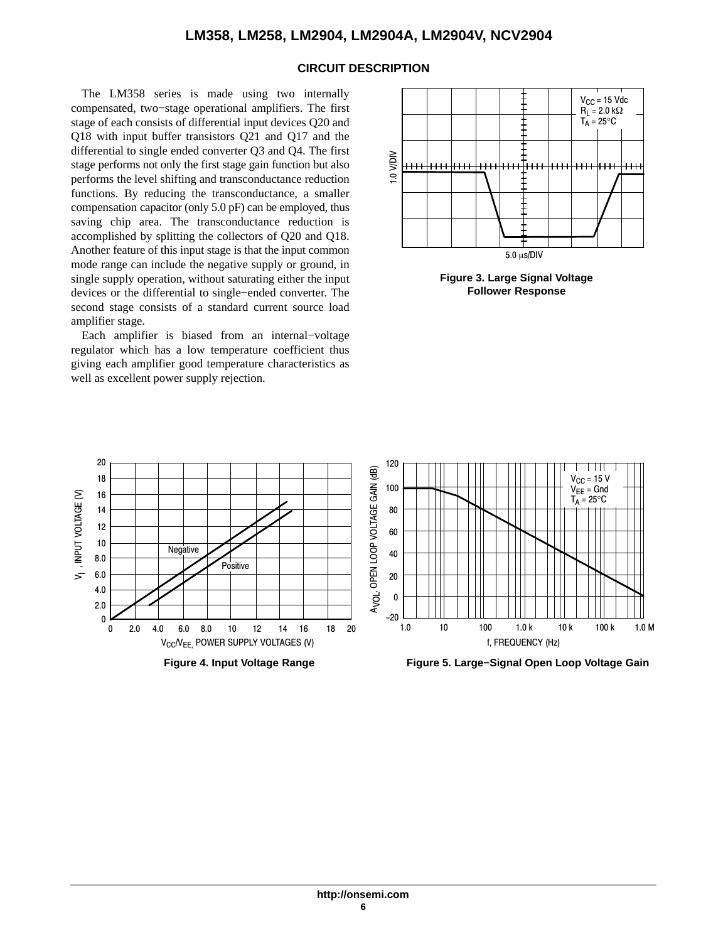#### **CIRCUIT DESCRIPTION**

The LM358 series is made using two internally compensated, two−stage operational amplifiers. The first stage of each consists of differential input devices Q20 and Q18 with input buffer transistors Q21 and Q17 and the differential to single ended converter Q3 and Q4. The first stage performs not only the first stage gain function but also performs the level shifting and transconductance reduction functions. By reducing the transconductance, a smaller compensation capacitor (only 5.0 pF) can be employed, thus saving chip area. The transconductance reduction is accomplished by splitting the collectors of Q20 and Q18. Another feature of this input stage is that the input common mode range can include the negative supply or ground, in single supply operation, without saturating either the input devices or the differential to single−ended converter. The second stage consists of a standard current source load amplifier stage.

Each amplifier is biased from an internal−voltage regulator which has a low temperature coefficient thus giving each amplifier good temperature characteristics as well as excellent power supply rejection.



**Figure 3. Large Signal Voltage Follower Response**

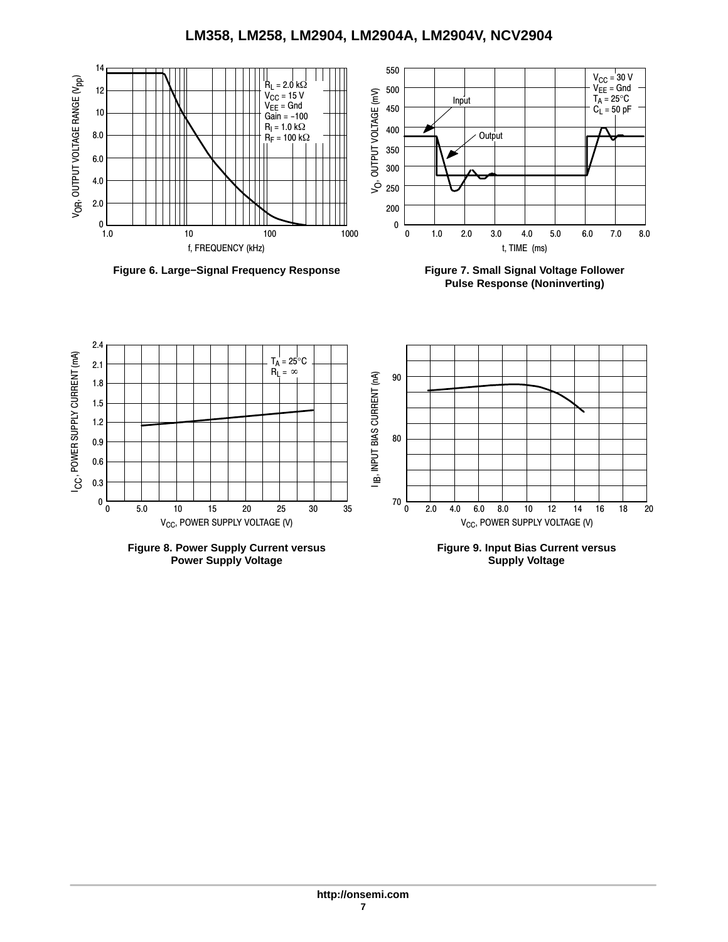**LM358, LM258, LM2904, LM2904A, LM2904V, NCV2904**



**Figure 6. Large−Signal Frequency Response Figure 7. Small Signal Voltage Follower**

**Pulse Response (Noninverting)**



**Power Supply Voltage**

**Supply Voltage**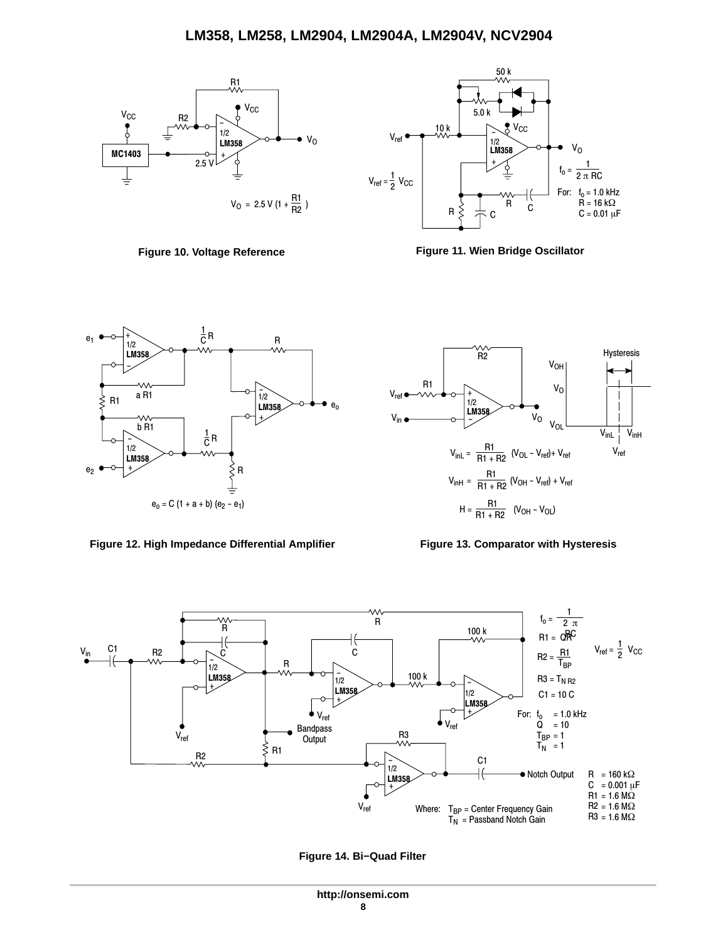



**Figure 10. Voltage Reference Figure 11. Wien Bridge Oscillator**



Figure 12. High Impedance Differential Amplifier Figure 13. Comparator with Hysteresis







**Figure 14. Bi−Quad Filter**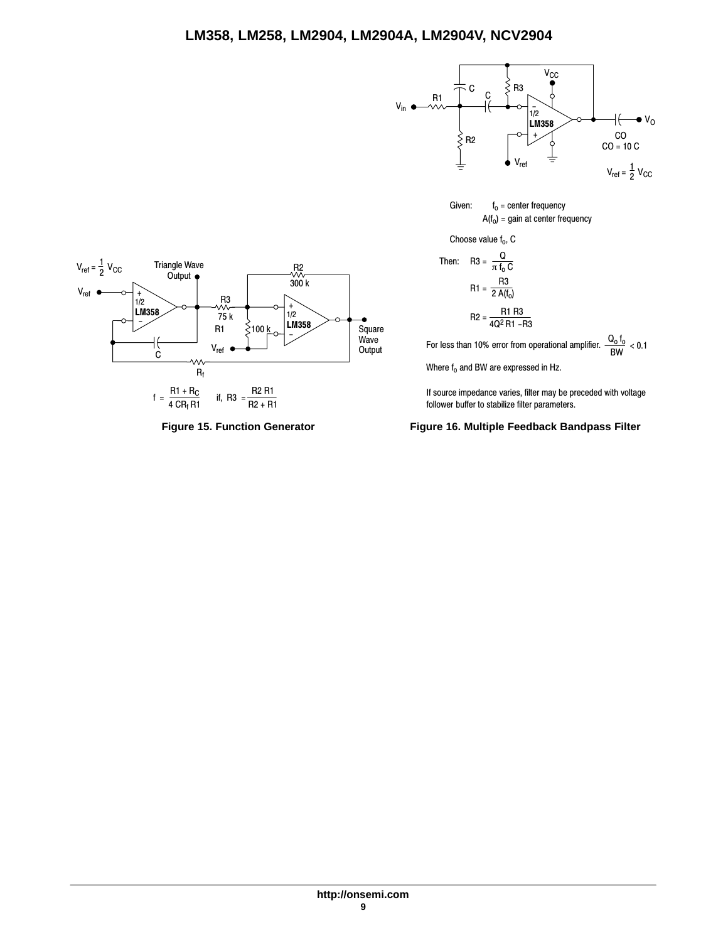

Given:  $f_0 =$  center frequency  $A(f_0)$  = gain at center frequency

Choose value  $f_0$ , C

Then: R3 = 
$$
\frac{Q}{\pi f_0 C}
$$
  
R1 =  $\frac{R3}{2 A(f_0)}$   
R2 =  $\frac{R1 R3}{4Q^2 R1 - R3}$ 

For less than 10% error from operational amplifier.  $\frac{Q_0 f_0}{BW} < 0.1$ 

Where  $f_0$  and BW are expressed in Hz.

If source impedance varies, filter may be preceded with voltage follower buffer to stabilize filter parameters.

**Figure 15. Function Generator Figure 16. Multiple Feedback Bandpass Filter**

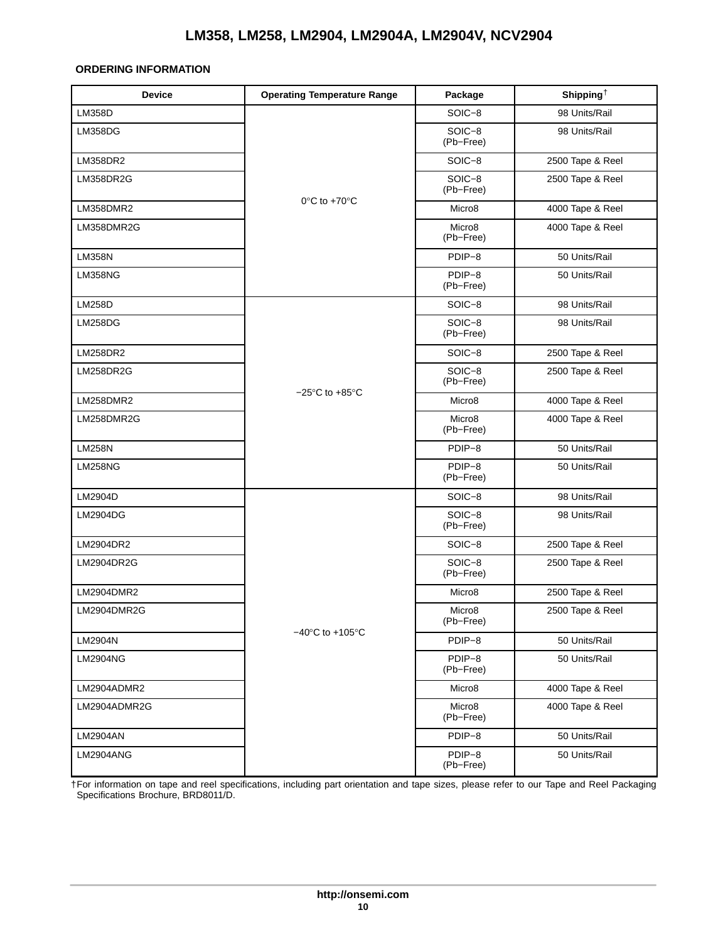#### <span id="page-9-0"></span>**ORDERING INFORMATION**

| <b>Device</b>    | <b>Operating Temperature Range</b>   | Package                         | Shipping <sup><math>\dagger</math></sup> |
|------------------|--------------------------------------|---------------------------------|------------------------------------------|
| <b>LM358D</b>    |                                      | SOIC-8                          | 98 Units/Rail                            |
| LM358DG          |                                      | SOIC-8<br>(Pb-Free)             | 98 Units/Rail                            |
| LM358DR2         |                                      | SOIC-8                          | 2500 Tape & Reel                         |
| LM358DR2G        |                                      | SOIC-8<br>(Pb-Free)             | 2500 Tape & Reel                         |
| LM358DMR2        | $0^{\circ}$ C to +70 $^{\circ}$ C    | Micro <sub>8</sub>              | 4000 Tape & Reel                         |
| LM358DMR2G       |                                      | Micro <sub>8</sub><br>(Pb-Free) | 4000 Tape & Reel                         |
| <b>LM358N</b>    |                                      | PDIP-8                          | 50 Units/Rail                            |
| <b>LM358NG</b>   |                                      | PDIP-8<br>(Pb-Free)             | 50 Units/Rail                            |
| <b>LM258D</b>    |                                      | SOIC-8                          | 98 Units/Rail                            |
| <b>LM258DG</b>   |                                      | $SOIC-8$<br>(Pb-Free)           | 98 Units/Rail                            |
| <b>LM258DR2</b>  |                                      | SOIC-8                          | 2500 Tape & Reel                         |
| <b>LM258DR2G</b> |                                      | SOIC-8<br>(Pb-Free)             | 2500 Tape & Reel                         |
| LM258DMR2        | $-25^{\circ}$ C to $+85^{\circ}$ C   | Micro <sub>8</sub>              | 4000 Tape & Reel                         |
| LM258DMR2G       |                                      | Micro8<br>(Pb-Free)             | 4000 Tape & Reel                         |
| <b>LM258N</b>    |                                      | PDIP-8                          | 50 Units/Rail                            |
| <b>LM258NG</b>   |                                      | PDIP-8<br>(Pb-Free)             | 50 Units/Rail                            |
| LM2904D          |                                      | SOIC-8                          | 98 Units/Rail                            |
| LM2904DG         |                                      | SOIC-8<br>(Pb-Free)             | 98 Units/Rail                            |
| LM2904DR2        |                                      | SOIC-8                          | 2500 Tape & Reel                         |
| LM2904DR2G       |                                      | SOIC-8<br>(Pb-Free)             | 2500 Tape & Reel                         |
| LM2904DMR2       |                                      | Micro <sub>8</sub>              | 2500 Tape & Reel                         |
| LM2904DMR2G      |                                      | Micro <sub>8</sub><br>(Pb-Free) | 2500 Tape & Reel                         |
| LM2904N          | $-40^{\circ}$ C to +105 $^{\circ}$ C | PDIP-8                          | 50 Units/Rail                            |
| <b>LM2904NG</b>  |                                      | PDIP-8<br>(Pb-Free)             | 50 Units/Rail                            |
| LM2904ADMR2      |                                      | Micro <sub>8</sub>              | 4000 Tape & Reel                         |
| LM2904ADMR2G     |                                      | Micro <sub>8</sub><br>(Pb-Free) | 4000 Tape & Reel                         |
| <b>LM2904AN</b>  |                                      | PDIP-8                          | 50 Units/Rail                            |
| LM2904ANG        |                                      | PDIP-8<br>(Pb-Free)             | 50 Units/Rail                            |

†For information on tape and reel specifications, including part orientation and tape sizes, please refer to our Tape and Reel Packaging Specifications Brochure, BRD8011/D.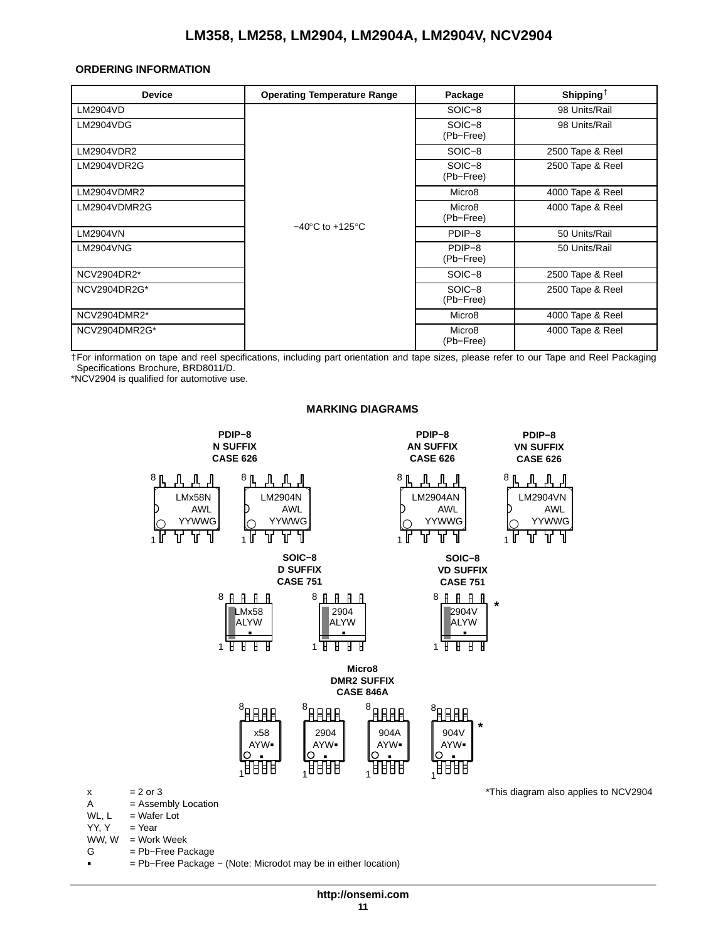#### <span id="page-10-0"></span>**ORDERING INFORMATION**

| <b>Device</b> | <b>Operating Temperature Range</b>  | Package                         | Shipping <sup><math>\dagger</math></sup> |
|---------------|-------------------------------------|---------------------------------|------------------------------------------|
| LM2904VD      |                                     | SOIC-8                          | 98 Units/Rail                            |
| LM2904VDG     |                                     | SOIC-8<br>(Pb-Free)             | 98 Units/Rail                            |
| LM2904VDR2    |                                     | SOIC-8                          | 2500 Tape & Reel                         |
| LM2904VDR2G   |                                     | SOIC-8<br>(Pb-Free)             | 2500 Tape & Reel                         |
| LM2904VDMR2   |                                     | Micro <sub>8</sub>              | 4000 Tape & Reel                         |
| LM2904VDMR2G  |                                     | Micro <sub>8</sub><br>(Pb-Free) | 4000 Tape & Reel                         |
| LM2904VN      | $-40^{\circ}$ C to $+125^{\circ}$ C | PDIP-8                          | 50 Units/Rail                            |
| LM2904VNG     |                                     | PDIP-8<br>(Pb-Free)             | 50 Units/Rail                            |
| NCV2904DR2*   |                                     | SOIC-8                          | 2500 Tape & Reel                         |
| NCV2904DR2G*  |                                     | SOIC-8<br>(Pb-Free)             | 2500 Tape & Reel                         |
| NCV2904DMR2*  |                                     | Micro <sub>8</sub>              | 4000 Tape & Reel                         |
| NCV2904DMR2G* |                                     | Micro <sub>8</sub><br>(Pb-Free) | 4000 Tape & Reel                         |

†For information on tape and reel specifications, including part orientation and tape sizes, please refer to our Tape and Reel Packaging Specifications Brochure, BRD8011/D.

\*NCV2904 is qualified for automotive use.

WW,  $W = Work Week$ <br>G = Pb-Free Pa

-

= Pb-Free Package

= Pb−Free Package − (Note: Microdot may be in either location)



#### **MARKING DIAGRAMS**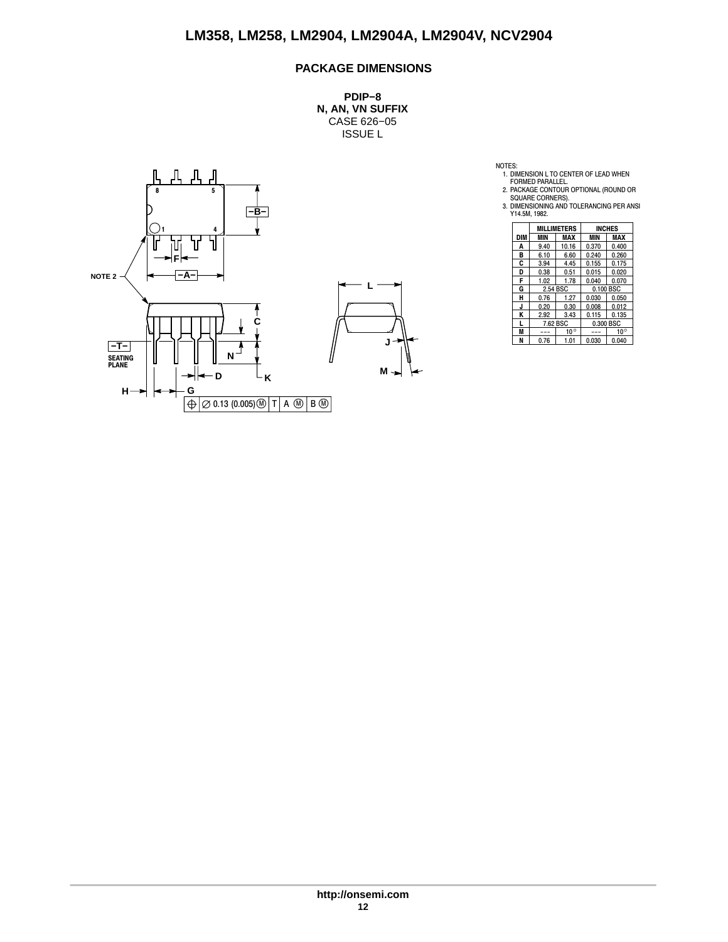### **PACKAGE DIMENSIONS**

**PDIP−8 N, AN, VN SUFFIX** CASE 626−05 ISSUE L





NOTES:<br>
1. DIMENSION L TO CENTER OF LEAD WHEN<br>
FORMED PARALLEL.<br>
2. PACKAGE CONTOUR OPTIONAL (ROUND OR<br>
SQUARE CORNERS).<br>
3. DIMENSIONING AND TOLERANCING PER ANSI<br>
Y14.5M, 1982.

|     |          | MILLIMETERS  |           | <b>INCHES</b> |
|-----|----------|--------------|-----------|---------------|
| DIM | MIN      | MAX          | MIN       | MAX           |
| A   | 9.40     | 10.16        | 0.370     | 0.400         |
| B   | 6.10     | 6.60         | 0.240     | 0.260         |
| C   | 3.94     | 4.45         | 0.155     | 0.175         |
| D   | 0.38     | 0.51         | 0.015     | 0.020         |
| F   | 1.02     | 1.78         | 0.040     | 0.070         |
| G   | 2.54 BSC |              | 0.100 BSC |               |
| н   | 0.76     | 1.27         | 0.030     | 0.050         |
| J   | 0.20     | 0.30         | 0.008     | 0.012         |
| Κ   | 2.92     | 3.43         | 0.115     | 0.135         |
| L   | 7.62 BSC |              | 0.300 BSC |               |
| M   |          | $10^{\circ}$ |           | $10^{\circ}$  |
| N   | 0.76     | 1.01         | 0.030     | 0.040         |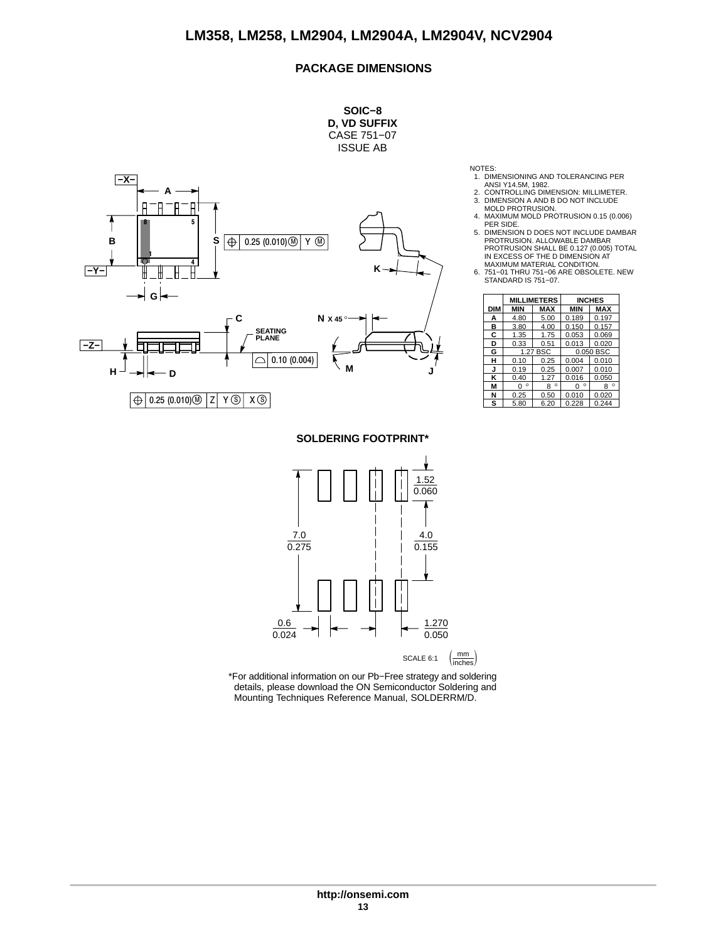#### **PACKAGE DIMENSIONS**



- NOTES: 1. DIMENSIONING AND TOLERANCING PER
- ANSI Y14.5M, 1982. 2. CONTROLLING DIMENSION: MILLIMETER.
- 3. DIMENSION A AND B DO NOT INCLUDE MOLD PROTRUSION.
- 4. MAXIMUM MOLD PROTRUSION 0.15 (0.006) PER SIDE.
- 5. DIMENSION D DOES NOT INCLUDE DAMBAR<br>PROTRUSION. ALLOWABLE DAMBAR<br>PROTRUSION SHALL BE 0.127 (0.005) TOTAL<br>IN EXCESS OF THE D DIMENSION AT<br>MAXIMUM MATERIAL CONDITION.
- 6. 751−01 THRU 751−06 ARE OBSOLETE. NEW STANDARD IS 751−07.

|     |              | <b>MILLIMETERS</b> |              | <b>INCHES</b> |
|-----|--------------|--------------------|--------------|---------------|
| DIM | <b>MIN</b>   | <b>MAX</b>         | <b>MIN</b>   | <b>MAX</b>    |
| А   | 4.80         | 5.00               | 0.189        | 0.197         |
| в   | 3.80         | 4.00               | 0.150        | 0.157         |
| C   | 1.35         | 1.75               | 0.053        | 0.069         |
| D   | 0.33         | 0.51               | 0.013        | 0.020         |
| G   |              | 1.27 BSC           | 0.050 BSC    |               |
| н   | 0.10         | 0.25               | 0.004        | 0.010         |
| J   | 0.19         | 0.25               | 0.007        | 0.010         |
| κ   | 0.40         | 1.27               | 0.016        | 0.050         |
| М   | $\circ$<br>n | $\circ$<br>8       | $\circ$<br>n | $\circ$<br>R  |
| N   | 0.25         | 0.50               | 0.010        | 0.020         |
| s   | 5.80         | 6.20               | 0.228        | 0.244         |

**SOLDERING FOOTPRINT\***



\*For additional information on our Pb−Free strategy and soldering details, please download the ON Semiconductor Soldering and Mounting Techniques Reference Manual, SOLDERRM/D.